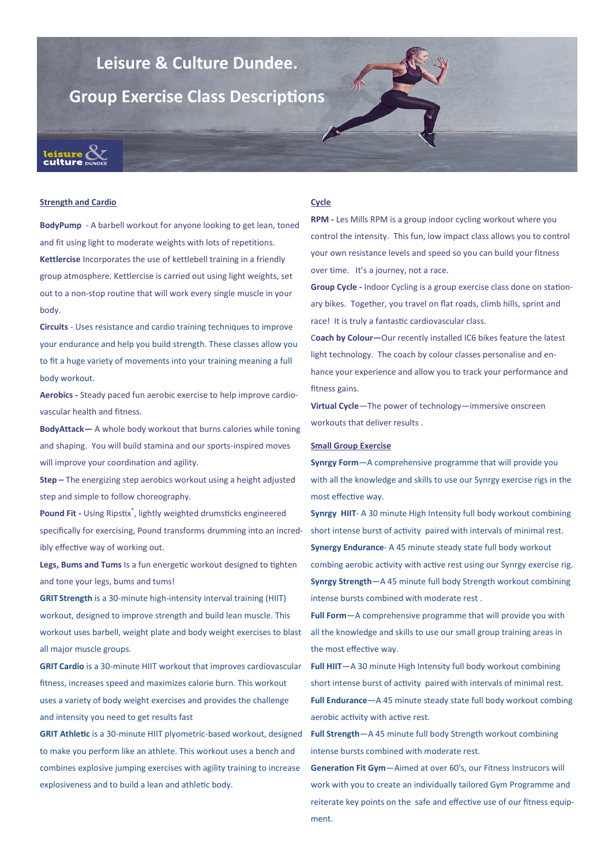# **Leisure & Culture Dundee. Group Exercise Class Descriptions**



# **Strength and Cardio**

**BodyPump** - A barbell workout for anyone looking to get lean, toned and fit using light to moderate weights with lots of repetitions. **Kettlercise** Incorporates the use of kettlebell training in a friendly group atmosphere. Kettlercise is carried out using light weights, set out to a non-stop routine that will work every single muscle in your body.

**Circuits** - Uses resistance and cardio training techniques to improve your endurance and help you build strength. These classes allow you to fit a huge variety of movements into your training meaning a full body workout.

**Aerobics -** Steady paced fun aerobic exercise to help improve cardiovascular health and fitness.

**BodyAttack—** A whole body workout that burns calories while toning and shaping. You will build stamina and our sports-inspired moves will improve your coordination and agility.

**Step –** The energizing step aerobics workout using a height adjusted step and simple to follow choreography.

**Pound Fit -** Using Ripstix® , lightly weighted drumsticks engineered specifically for exercising, Pound transforms drumming into an incredibly effective way of working out.

**Legs, Bums and Tums** Is a fun energetic workout designed to tighten and tone your legs, bums and tums!

**GRIT Strength** is a 30-minute high-intensity interval training (HIIT) workout, designed to improve strength and build lean muscle. This workout uses barbell, weight plate and body weight exercises to blast all major muscle groups.

**GRIT Cardio** is a 30-minute HIIT workout that improves cardiovascular fitness, increases speed and maximizes calorie burn. This workout uses a variety of body weight exercises and provides the challenge and intensity you need to get results fast

**GRIT Athletic** is a 30-minute HIIT plyometric-based workout, designed to make you perform like an athlete. This workout uses a bench and combines explosive jumping exercises with agility training to increase explosiveness and to build a lean and athletic body.

### **Cycle**

**RPM -** Les Mills RPM is a group indoor cycling workout where you control the intensity. This fun, low impact class allows you to control your own resistance levels and speed so you can build your fitness over time. It's a journey, not a race.

**Group Cycle -** Indoor Cycling is a group exercise class done on stationary bikes. Together, you travel on flat roads, climb hills, sprint and race! It is truly a fantastic cardiovascular class.

C**oach by Colour—**Our recently installed IC6 bikes feature the latest light technology. The coach by colour classes personalise and enhance your experience and allow you to track your performance and fitness gains.

**Virtual Cycle**—The power of technology—immersive onscreen workouts that deliver results .

# **Small Group Exercise**

**Synrgy Form**—A comprehensive programme that will provide you with all the knowledge and skills to use our Synrgy exercise rigs in the most effective way.

**Synrgy HIIT**- A 30 minute High Intensity full body workout combining short intense burst of activity paired with intervals of minimal rest. **Synergy Endurance**- A 45 minute steady state full body workout combing aerobic activity with active rest using our Synrgy exercise rig. **Synrgy Strength**—A 45 minute full body Strength workout combining intense bursts combined with moderate rest .

**Full Form**—A comprehensive programme that will provide you with all the knowledge and skills to use our small group training areas in the most effective way.

**Full HIIT**—A 30 minute High Intensity full body workout combining short intense burst of activity paired with intervals of minimal rest. **Full Endurance**—A 45 minute steady state full body workout combing aerobic activity with active rest.

**Full Strength**—A 45 minute full body Strength workout combining intense bursts combined with moderate rest.

**Generation Fit Gym**—Aimed at over 60's, our Fitness Instrucors will work with you to create an individually tailored Gym Programme and reiterate key points on the safe and effective use of our fitness equipment.